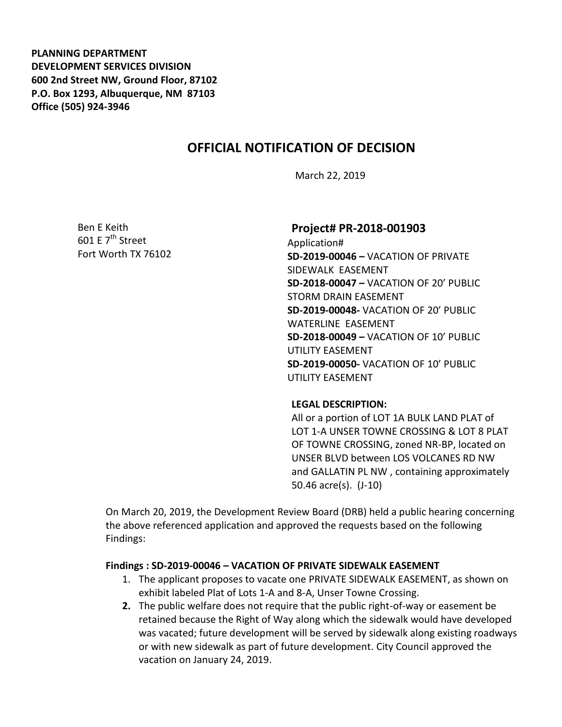**PLANNING DEPARTMENT DEVELOPMENT SERVICES DIVISION 600 2nd Street NW, Ground Floor, 87102 P.O. Box 1293, Albuquerque, NM 87103 Office (505) 924-3946** 

# **OFFICIAL NOTIFICATION OF DECISION**

March 22, 2019

Ben E Keith 601 F  $7<sup>th</sup>$  Street Fort Worth TX 76102

## **Project# PR-2018-001903**

Application# **SD-2019-00046 –** VACATION OF PRIVATE SIDEWALK EASEMENT **SD-2018-00047 –** VACATION OF 20' PUBLIC STORM DRAIN EASEMENT **SD-2019-00048-** VACATION OF 20' PUBLIC WATERLINE EASEMENT **SD-2018-00049 –** VACATION OF 10' PUBLIC UTILITY EASEMENT **SD-2019-00050-** VACATION OF 10' PUBLIC UTILITY EASEMENT

#### **LEGAL DESCRIPTION:**

All or a portion of LOT 1A BULK LAND PLAT of LOT 1-A UNSER TOWNE CROSSING & LOT 8 PLAT OF TOWNE CROSSING, zoned NR-BP, located on UNSER BLVD between LOS VOLCANES RD NW and GALLATIN PL NW , containing approximately 50.46 acre(s). (J-10)

On March 20, 2019, the Development Review Board (DRB) held a public hearing concerning the above referenced application and approved the requests based on the following Findings:

## **Findings : SD-2019-00046 – VACATION OF PRIVATE SIDEWALK EASEMENT**

- 1. The applicant proposes to vacate one PRIVATE SIDEWALK EASEMENT, as shown on exhibit labeled Plat of Lots 1-A and 8-A, Unser Towne Crossing.
- **2.** The public welfare does not require that the public right-of-way or easement be retained because the Right of Way along which the sidewalk would have developed was vacated; future development will be served by sidewalk along existing roadways or with new sidewalk as part of future development. City Council approved the vacation on January 24, 2019.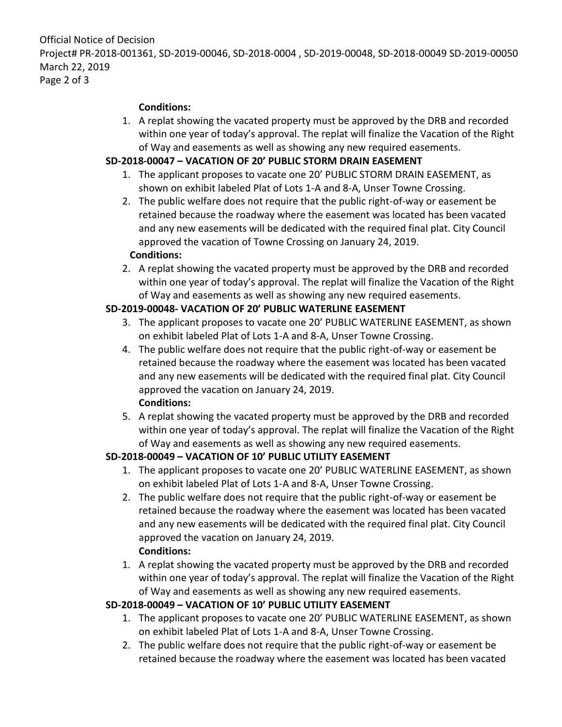Official Notice of Decision Project# PR-2018-001361, SD-2019-00046, SD-2018-0004 , SD-2019-00048, SD-2018-00049 SD-2019-00050 March 22, 2019 Page 2 of 3

#### **Conditions:**

1. A replat showing the vacated property must be approved by the DRB and recorded within one year of today's approval. The replat will finalize the Vacation of the Right of Way and easements as well as showing any new required easements.

## **SD-2018-00047 – VACATION OF 20' PUBLIC STORM DRAIN EASEMENT**

- 1. The applicant proposes to vacate one 20' PUBLIC STORM DRAIN EASEMENT, as shown on exhibit labeled Plat of Lots 1-A and 8-A, Unser Towne Crossing.
- 2. The public welfare does not require that the public right-of-way or easement be retained because the roadway where the easement was located has been vacated and any new easements will be dedicated with the required final plat. City Council approved the vacation of Towne Crossing on January 24, 2019.

## **Conditions:**

2. A replat showing the vacated property must be approved by the DRB and recorded within one year of today's approval. The replat will finalize the Vacation of the Right of Way and easements as well as showing any new required easements.

## **SD-2019-00048- VACATION OF 20' PUBLIC WATERLINE EASEMENT**

- 3. The applicant proposes to vacate one 20' PUBLIC WATERLINE EASEMENT, as shown on exhibit labeled Plat of Lots 1-A and 8-A, Unser Towne Crossing.
- 4. The public welfare does not require that the public right-of-way or easement be retained because the roadway where the easement was located has been vacated and any new easements will be dedicated with the required final plat. City Council approved the vacation on January 24, 2019. **Conditions:**
- 5. A replat showing the vacated property must be approved by the DRB and recorded within one year of today's approval. The replat will finalize the Vacation of the Right of Way and easements as well as showing any new required easements.

## **SD-2018-00049 – VACATION OF 10' PUBLIC UTILITY EASEMENT**

- 1. The applicant proposes to vacate one 20' PUBLIC WATERLINE EASEMENT, as shown on exhibit labeled Plat of Lots 1-A and 8-A, Unser Towne Crossing.
- 2. The public welfare does not require that the public right-of-way or easement be retained because the roadway where the easement was located has been vacated and any new easements will be dedicated with the required final plat. City Council approved the vacation on January 24, 2019. **Conditions:**
- 1. A replat showing the vacated property must be approved by the DRB and recorded within one year of today's approval. The replat will finalize the Vacation of the Right of Way and easements as well as showing any new required easements.

# **SD-2018-00049 – VACATION OF 10' PUBLIC UTILITY EASEMENT**

- 1. The applicant proposes to vacate one 20' PUBLIC WATERLINE EASEMENT, as shown on exhibit labeled Plat of Lots 1-A and 8-A, Unser Towne Crossing.
- 2. The public welfare does not require that the public right-of-way or easement be retained because the roadway where the easement was located has been vacated